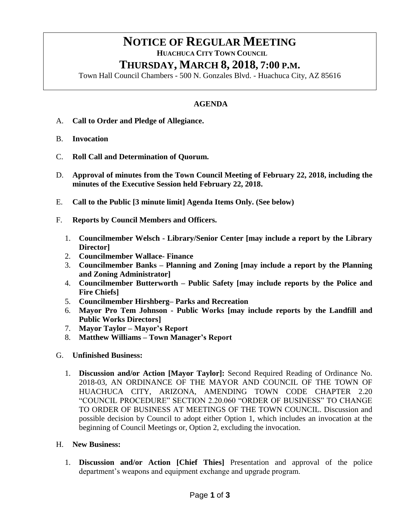# **NOTICE OF REGULAR MEETING**

 **HUACHUCA CITY TOWN COUNCIL**

## **THURSDAY, MARCH 8, 2018, 7:00 P.M.**

Town Hall Council Chambers - 500 N. Gonzales Blvd. - Huachuca City, AZ 85616

### **AGENDA**

- A. **Call to Order and Pledge of Allegiance.**
- B. **Invocation**
- C. **Roll Call and Determination of Quorum.**
- D. **Approval of minutes from the Town Council Meeting of February 22, 2018, including the minutes of the Executive Session held February 22, 2018.**
- E. **Call to the Public [3 minute limit] Agenda Items Only. (See below)**
- F. **Reports by Council Members and Officers.**
	- 1. **Councilmember Welsch - Library/Senior Center [may include a report by the Library Director]**
	- 2. **Councilmember Wallace- Finance**
	- 3. **Councilmember Banks – Planning and Zoning [may include a report by the Planning and Zoning Administrator]**
	- 4. **Councilmember Butterworth – Public Safety [may include reports by the Police and Fire Chiefs]**
	- 5. **Councilmember Hirshberg– Parks and Recreation**
	- 6. **Mayor Pro Tem Johnson - Public Works [may include reports by the Landfill and Public Works Directors]**
	- 7. **Mayor Taylor – Mayor's Report**
	- 8. **Matthew Williams – Town Manager's Report**
- G. **Unfinished Business:** 
	- 1. **Discussion and/or Action [Mayor Taylor]:** Second Required Reading of Ordinance No. 2018-03, AN ORDINANCE OF THE MAYOR AND COUNCIL OF THE TOWN OF HUACHUCA CITY, ARIZONA, AMENDING TOWN CODE CHAPTER 2.20 "COUNCIL PROCEDURE" SECTION 2.20.060 "ORDER OF BUSINESS" TO CHANGE TO ORDER OF BUSINESS AT MEETINGS OF THE TOWN COUNCIL. Discussion and possible decision by Council to adopt either Option 1, which includes an invocation at the beginning of Council Meetings or, Option 2, excluding the invocation.
- H. **New Business:**
	- 1. **Discussion and/or Action [Chief Thies]** Presentation and approval of the police department's weapons and equipment exchange and upgrade program.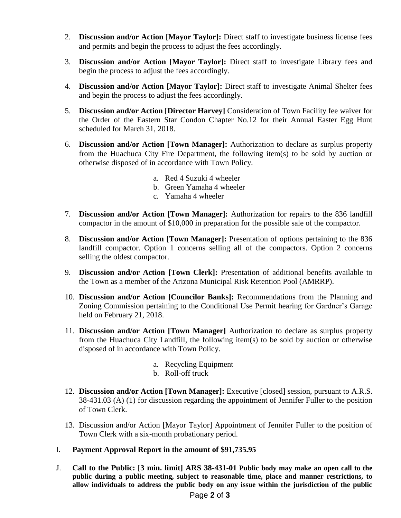- 2. **Discussion and/or Action [Mayor Taylor]:** Direct staff to investigate business license fees and permits and begin the process to adjust the fees accordingly.
- 3. **Discussion and/or Action [Mayor Taylor]:** Direct staff to investigate Library fees and begin the process to adjust the fees accordingly.
- 4. **Discussion and/or Action [Mayor Taylor]:** Direct staff to investigate Animal Shelter fees and begin the process to adjust the fees accordingly.
- 5. **Discussion and/or Action [Director Harvey]** Consideration of Town Facility fee waiver for the Order of the Eastern Star Condon Chapter No.12 for their Annual Easter Egg Hunt scheduled for March 31, 2018.
- 6. **Discussion and/or Action [Town Manager]:** Authorization to declare as surplus property from the Huachuca City Fire Department, the following item(s) to be sold by auction or otherwise disposed of in accordance with Town Policy.
	- a. Red 4 Suzuki 4 wheeler
	- b. Green Yamaha 4 wheeler
	- c. Yamaha 4 wheeler
- 7. **Discussion and/or Action [Town Manager]:** Authorization for repairs to the 836 landfill compactor in the amount of \$10,000 in preparation for the possible sale of the compactor.
- 8. **Discussion and/or Action [Town Manager]:** Presentation of options pertaining to the 836 landfill compactor. Option 1 concerns selling all of the compactors. Option 2 concerns selling the oldest compactor.
- 9. **Discussion and/or Action [Town Clerk]:** Presentation of additional benefits available to the Town as a member of the Arizona Municipal Risk Retention Pool (AMRRP).
- 10. **Discussion and/or Action [Councilor Banks]:** Recommendations from the Planning and Zoning Commission pertaining to the Conditional Use Permit hearing for Gardner's Garage held on February 21, 2018.
- 11. **Discussion and/or Action [Town Manager]** Authorization to declare as surplus property from the Huachuca City Landfill, the following item(s) to be sold by auction or otherwise disposed of in accordance with Town Policy.
	- a. Recycling Equipment
	- b. Roll-off truck
- 12. **Discussion and/or Action [Town Manager]:** Executive [closed] session, pursuant to A.R.S. 38-431.03 (A) (1) for discussion regarding the appointment of Jennifer Fuller to the position of Town Clerk.
- 13. Discussion and/or Action [Mayor Taylor] Appointment of Jennifer Fuller to the position of Town Clerk with a six-month probationary period.
- I. **Payment Approval Report in the amount of \$91,735.95**
- J. **Call to the Public: [3 min. limit] ARS 38-431-01 Public body may make an open call to the public during a public meeting, subject to reasonable time, place and manner restrictions, to allow individuals to address the public body on any issue within the jurisdiction of the public**